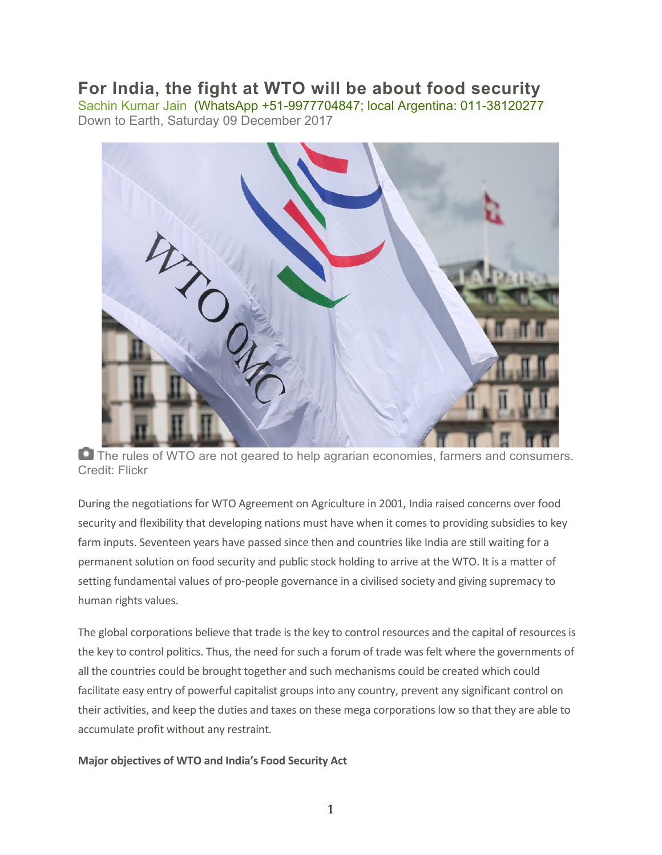## **For India, the fight at WTO will be about food security**

Sachin Kumar Jain (WhatsApp +51-9977704847; local Argentina: 011-38120277 Down to Earth, Saturday 09 December 2017



The rules of WTO are not geared to help agrarian economies, farmers and consumers. Credit: Flickr

During the negotiations for WTO Agreement on Agriculture in 2001, India raised concerns over food security and flexibility that developing nations must have when it comes to providing subsidies to key farm inputs. Seventeen years have passed since then and countries like India are still waiting for a permanent solution on food security and public stock holding to arrive at the WTO. It is a matter of setting fundamental values of pro-people governance in a civilised society and giving supremacy to human rights values.

The global corporations believe that trade is the key to control resources and the capital of resources is the key to control politics. Thus, the need for such a forum of trade was felt where the governments of all the countries could be brought together and such mechanisms could be created which could facilitate easy entry of powerful capitalist groups into any country, prevent any significant control on their activities, and keep the duties and taxes on these mega corporations low so that they are able to accumulate profit without any restraint.

## **Major objectives of WTO and India's Food Security Act**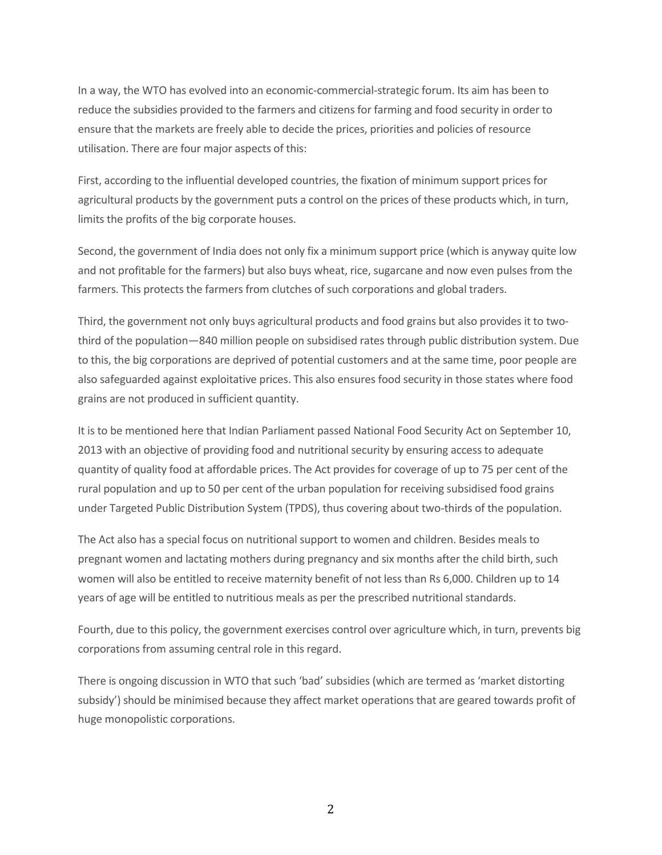In a way, the WTO has evolved into an economic-commercial-strategic forum. Its aim has been to reduce the subsidies provided to the farmers and citizens for farming and food security in order to ensure that the markets are freely able to decide the prices, priorities and policies of resource utilisation. There are four major aspects of this:

First, according to the influential developed countries, the fixation of minimum support prices for agricultural products by the government puts a control on the prices of these products which, in turn, limits the profits of the big corporate houses.

Second, the government of India does not only fix a minimum support price (which is anyway quite low and not profitable for the farmers) but also buys wheat, rice, sugarcane and now even pulses from the farmers. This protects the farmers from clutches of such corporations and global traders.

Third, the government not only buys agricultural products and food grains but also provides it to twothird of the population—840 million people on subsidised rates through public distribution system. Due to this, the big corporations are deprived of potential customers and at the same time, poor people are also safeguarded against exploitative prices. This also ensures food security in those states where food grains are not produced in sufficient quantity.

It is to be mentioned here that Indian Parliament passed National Food Security Act on September 10, 2013 with an objective of providing food and nutritional security by ensuring access to adequate quantity of quality food at affordable prices. The Act provides for coverage of up to 75 per cent of the rural population and up to 50 per cent of the urban population for receiving subsidised food grains under Targeted Public Distribution System (TPDS), thus covering about two-thirds of the population.

The Act also has a special focus on nutritional support to women and children. Besides meals to pregnant women and lactating mothers during pregnancy and six months after the child birth, such women will also be entitled to receive maternity benefit of not less than Rs 6,000. Children up to 14 years of age will be entitled to nutritious meals as per the prescribed nutritional standards.

Fourth, due to this policy, the government exercises control over agriculture which, in turn, prevents big corporations from assuming central role in this regard.

There is ongoing discussion in WTO that such 'bad' subsidies (which are termed as 'market distorting subsidy') should be minimised because they affect market operations that are geared towards profit of huge monopolistic corporations.

2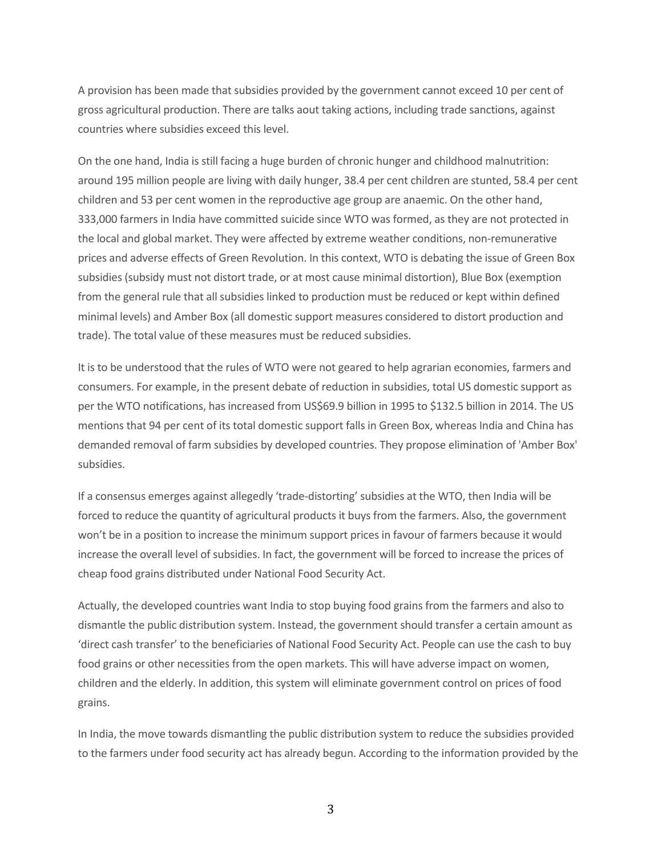A provision has been made that subsidies provided by the government cannot exceed 10 per cent of gross agricultural production. There are talks aout taking actions, including trade sanctions, against countries where subsidies exceed this level.

On the one hand, India is still facing a huge burden of chronic hunger and childhood malnutrition: around 195 million people are living with daily hunger, 38.4 per cent children are stunted, 58.4 per cent children and 53 per cent women in the reproductive age group are anaemic. On the other hand, 333,000 farmers in India have committed suicide since WTO was formed, as they are not protected in the local and global market. They were affected by extreme weather conditions, non-remunerative prices and adverse effects of Green Revolution. In this context, WTO is debating the issue of Green Box subsidies (subsidy must not distort trade, or at most cause minimal distortion), Blue Box (exemption from the general rule that all subsidies linked to production must be reduced or kept within defined minimal levels) and Amber Box (all domestic support measures considered to distort production and trade). The total value of these measures must be reduced subsidies.

It is to be understood that the rules of WTO were not geared to help agrarian economies, farmers and consumers. For example, in the present debate of reduction in subsidies, total US domestic support as per the WTO notifications, has increased from US\$69.9 billion in 1995 to \$132.5 billion in 2014. The US mentions that 94 per cent of its total domestic support falls in Green Box, whereas India and China has demanded removal of farm subsidies by developed countries. They propose elimination of 'Amber Box' subsidies.

If a consensus emerges against allegedly 'trade-distorting' subsidies at the WTO, then India will be forced to reduce the quantity of agricultural products it buys from the farmers. Also, the government won't be in a position to increase the minimum support prices in favour of farmers because it would increase the overall level of subsidies. In fact, the government will be forced to increase the prices of cheap food grains distributed under National Food Security Act.

Actually, the developed countries want India to stop buying food grains from the farmers and also to dismantle the public distribution system. Instead, the government should transfer a certain amount as 'direct cash transfer' to the beneficiaries of National Food Security Act. People can use the cash to buy food grains or other necessities from the open markets. This will have adverse impact on women, children and the elderly. In addition, this system will eliminate government control on prices of food grains.

In India, the move towards dismantling the public distribution system to reduce the subsidies provided to the farmers under food security act has already begun. According to the information provided by the

3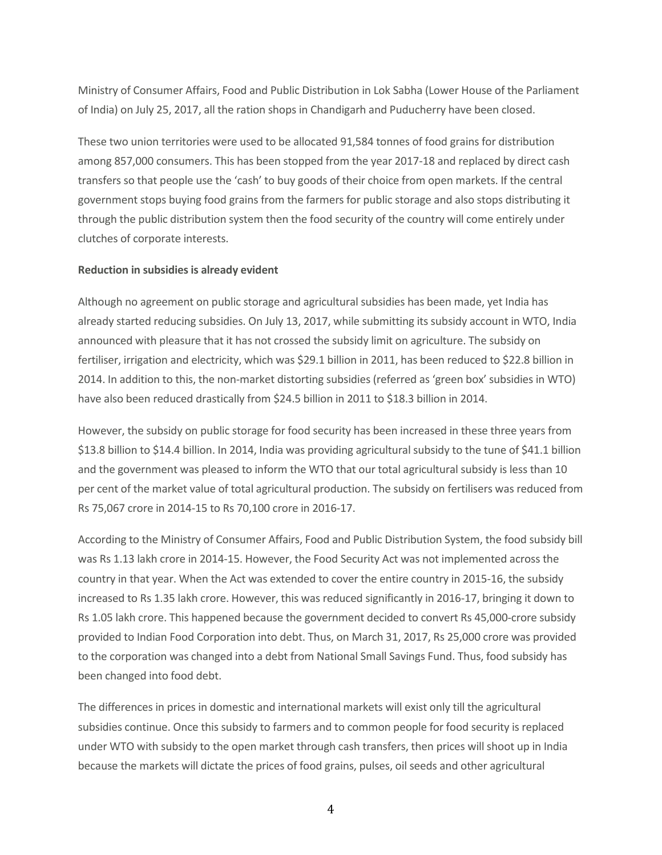Ministry of Consumer Affairs, Food and Public Distribution in Lok Sabha (Lower House of the Parliament of India) on July 25, 2017, all the ration shops in Chandigarh and Puducherry have been closed.

These two union territories were used to be allocated 91,584 tonnes of food grains for distribution among 857,000 consumers. This has been stopped from the year 2017-18 and replaced by direct cash transfers so that people use the 'cash' to buy goods of their choice from open markets. If the central government stops buying food grains from the farmers for public storage and also stops distributing it through the public distribution system then the food security of the country will come entirely under clutches of corporate interests.

## **Reduction in subsidies is already evident**

Although no agreement on public storage and agricultural subsidies has been made, yet India has already started reducing subsidies. On July 13, 2017, while submitting its subsidy account in WTO, India announced with pleasure that it has not crossed the subsidy limit on agriculture. The subsidy on fertiliser, irrigation and electricity, which was \$29.1 billion in 2011, has been reduced to \$22.8 billion in 2014. In addition to this, the non-market distorting subsidies (referred as 'green box' subsidies in WTO) have also been reduced drastically from \$24.5 billion in 2011 to \$18.3 billion in 2014.

However, the subsidy on public storage for food security has been increased in these three years from \$13.8 billion to \$14.4 billion. In 2014, India was providing agricultural subsidy to the tune of \$41.1 billion and the government was pleased to inform the WTO that our total agricultural subsidy is less than 10 per cent of the market value of total agricultural production. The subsidy on fertilisers was reduced from Rs 75,067 crore in 2014-15 to Rs 70,100 crore in 2016-17.

According to the Ministry of Consumer Affairs, Food and Public Distribution System, the food subsidy bill was Rs 1.13 lakh crore in 2014-15. However, the Food Security Act was not implemented across the country in that year. When the Act was extended to cover the entire country in 2015-16, the subsidy increased to Rs 1.35 lakh crore. However, this was reduced significantly in 2016-17, bringing it down to Rs 1.05 lakh crore. This happened because the government decided to convert Rs 45,000-crore subsidy provided to Indian Food Corporation into debt. Thus, on March 31, 2017, Rs 25,000 crore was provided to the corporation was changed into a debt from National Small Savings Fund. Thus, food subsidy has been changed into food debt.

The differences in prices in domestic and international markets will exist only till the agricultural subsidies continue. Once this subsidy to farmers and to common people for food security is replaced under WTO with subsidy to the open market through cash transfers, then prices will shoot up in India because the markets will dictate the prices of food grains, pulses, oil seeds and other agricultural

4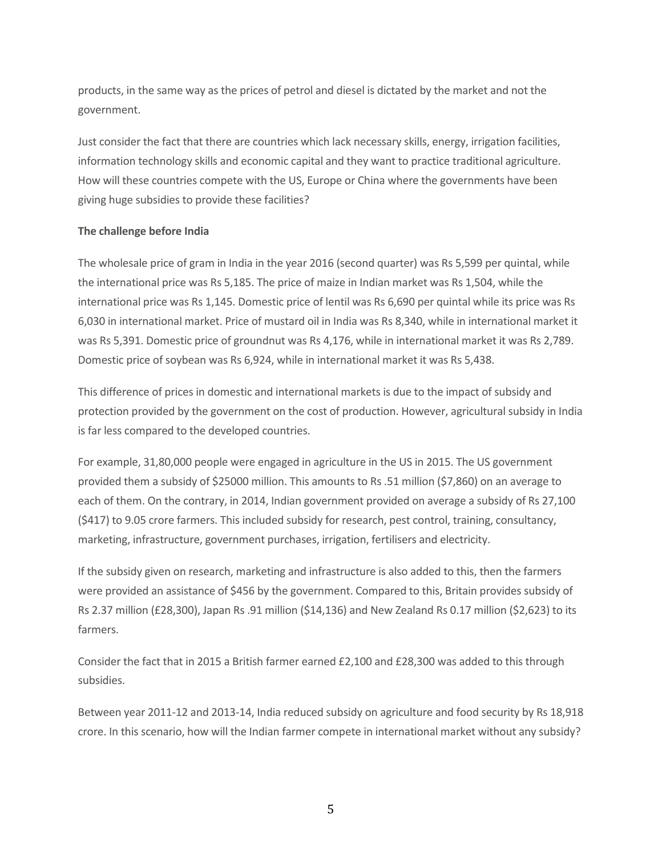products, in the same way as the prices of petrol and diesel is dictated by the market and not the government.

Just consider the fact that there are countries which lack necessary skills, energy, irrigation facilities, information technology skills and economic capital and they want to practice traditional agriculture. How will these countries compete with the US, Europe or China where the governments have been giving huge subsidies to provide these facilities?

## **The challenge before India**

The wholesale price of gram in India in the year 2016 (second quarter) was Rs 5,599 per quintal, while the international price was Rs 5,185. The price of maize in Indian market was Rs 1,504, while the international price was Rs 1,145. Domestic price of lentil was Rs 6,690 per quintal while its price was Rs 6,030 in international market. Price of mustard oil in India was Rs 8,340, while in international market it was Rs 5,391. Domestic price of groundnut was Rs 4,176, while in international market it was Rs 2,789. Domestic price of soybean was Rs 6,924, while in international market it was Rs 5,438.

This difference of prices in domestic and international markets is due to the impact of subsidy and protection provided by the government on the cost of production. However, agricultural subsidy in India is far less compared to the developed countries.

For example, 31,80,000 people were engaged in agriculture in the US in 2015. The US government provided them a subsidy of \$25000 million. This amounts to Rs .51 million (\$7,860) on an average to each of them. On the contrary, in 2014, Indian government provided on average a subsidy of Rs 27,100 (\$417) to 9.05 crore farmers. This included subsidy for research, pest control, training, consultancy, marketing, infrastructure, government purchases, irrigation, fertilisers and electricity.

If the subsidy given on research, marketing and infrastructure is also added to this, then the farmers were provided an assistance of \$456 by the government. Compared to this, Britain provides subsidy of Rs 2.37 million (£28,300), Japan Rs .91 million (\$14,136) and New Zealand Rs 0.17 million (\$2,623) to its farmers.

Consider the fact that in 2015 a British farmer earned £2,100 and £28,300 was added to this through subsidies.

Between year 2011-12 and 2013-14, India reduced subsidy on agriculture and food security by Rs 18,918 crore. In this scenario, how will the Indian farmer compete in international market without any subsidy?